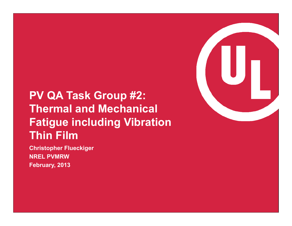# **PV QA Task Group #2: Thermal and Mechanical Fatigue including Vibration Thin Film**

 **NREL PVMRW Christopher Flueckiger February, 2013** 

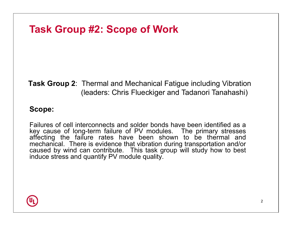## **Task Group #2: Scope of Work**

#### **Task Group 2**: Thermal and Mechanical Fatigue including Vibration (leaders: Chris Flueckiger and Tadanori Tanahashi)

#### **Scope:**

 Failures of cell interconnects and solder bonds have been identified as a mechanical. There is evidence that vibration during transportation and/or key cause of long-term failure of PV modules. The primary stresses affecting the failure rates have been shown to be thermal and caused by wind can contribute. This task group will study how to best induce stress and quantify PV module quality.

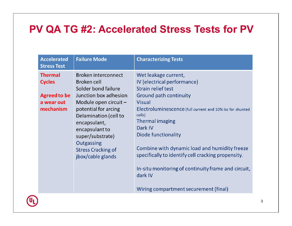## **PV QA TG #2: Accelerated Stress Tests for PV**

| <b>Accelerated</b><br><b>Stress Test</b>                                          | <b>Failure Mode</b>                                                                                                                                                                                                                                                                         | <b>Characterizing Tests</b>                                                                                                                                                                                                                                                                                                                                                                                                                                               |
|-----------------------------------------------------------------------------------|---------------------------------------------------------------------------------------------------------------------------------------------------------------------------------------------------------------------------------------------------------------------------------------------|---------------------------------------------------------------------------------------------------------------------------------------------------------------------------------------------------------------------------------------------------------------------------------------------------------------------------------------------------------------------------------------------------------------------------------------------------------------------------|
| <b>Thermal</b><br><b>Cycles</b><br><b>Agreed to be</b><br>a wear out<br>mechanism | <b>Broken interconnect</b><br>Broken cell<br>Solder bond failure<br>Junction box adhesion<br>Module open circuit $-$<br>potential for arcing<br>Delamination (cell to<br>encapsulant,<br>encapsulant to<br>super/substrate)<br>Outgassing<br><b>Stress Cracking of</b><br>jbox/cable glands | Wet leakage current,<br>IV (electrical performance)<br>Strain relief test<br>Ground path continuity<br><b>Visual</b><br>Electroluminescence (full current and 10% Isc for shunted<br>cells)<br><b>Thermal imaging</b><br>Dark IV<br>Diode functionality<br>Combine with dynamic load and humidity freeze<br>specifically to identify cell cracking propensity.<br>In-situ monitoring of continuity frame and circuit,<br>dark IV<br>Wiring compartment securement (final) |

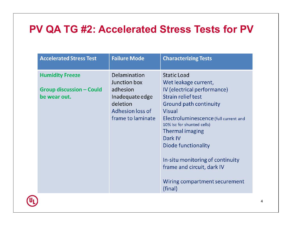## **PV QA TG #2: Accelerated Stress Tests for PV**

| <b>Accelerated Stress Test</b>                                            | <b>Failure Mode</b>                                                                                              | <b>Characterizing Tests</b>                                                                                                                                                                                                                                                                                                                                                                 |
|---------------------------------------------------------------------------|------------------------------------------------------------------------------------------------------------------|---------------------------------------------------------------------------------------------------------------------------------------------------------------------------------------------------------------------------------------------------------------------------------------------------------------------------------------------------------------------------------------------|
| <b>Humidity Freeze</b><br><b>Group discussion - Could</b><br>be wear out. | Delamination<br>Junction box<br>adhesion<br>Inadequate edge<br>deletion<br>Adhesion loss of<br>frame to laminate | <b>Static Load</b><br>Wet leakage current,<br>IV (electrical performance)<br>Strain relief test<br>Ground path continuity<br><b>Visual</b><br>Electroluminescence (full current and<br>10% Isc for shunted cells)<br><b>Thermal imaging</b><br>Dark IV<br>Diode functionality<br>In-situ monitoring of continuity<br>frame and circuit, dark IV<br>Wiring compartment securement<br>(final) |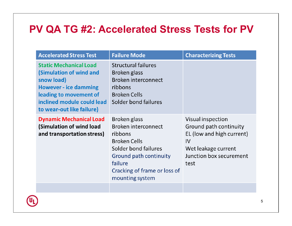### **PV QA TG #2: Accelerated Stress Tests for PV**

| <b>Accelerated Stress Test</b>                                                                                                                                                              | <b>Failure Mode</b>                                                                                                                                                                          | <b>Characterizing Tests</b>                                                                                                              |
|---------------------------------------------------------------------------------------------------------------------------------------------------------------------------------------------|----------------------------------------------------------------------------------------------------------------------------------------------------------------------------------------------|------------------------------------------------------------------------------------------------------------------------------------------|
| <b>Static Mechanical Load</b><br>(Simulation of wind and<br>snow load)<br><b>However - ice damming</b><br>leading to movement of<br>inclined module could lead<br>to wear-out like failure) | <b>Structural failures</b><br>Broken glass<br>Broken interconnect<br>ribbons<br><b>Broken Cells</b><br>Solder bond failures                                                                  |                                                                                                                                          |
| <b>Dynamic Mechanical Load</b><br>(Simulation of wind load<br>and transportation stress)                                                                                                    | Broken glass<br><b>Broken interconnect</b><br>ribbons<br><b>Broken Cells</b><br>Solder bond failures<br>Ground path continuity<br>failure<br>Cracking of frame or loss of<br>mounting system | Visual inspection<br>Ground path continuity<br>EL (low and high current)<br>IV<br>Wet leakage current<br>Junction box securement<br>test |
|                                                                                                                                                                                             |                                                                                                                                                                                              |                                                                                                                                          |

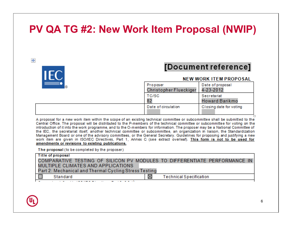## **PV QA TG #2: New Work Item Proposal (NWIP)**

#### $+$



#### [Document reference]

#### **NEW WORK ITEM PROPOSAL**

| Proposer<br><b>Christopher Flueckiger</b> | Date of proposal<br>4-23-2012 |
|-------------------------------------------|-------------------------------|
| TC/SC<br>82                               | Secretariat<br>Howard Barikmo |
| Date of circulation                       | Closing date for voting       |
|                                           |                               |

A proposal for a new work item within the scope of an existing technical committee or subcommittee shall be submitted to the Central Office. The proposal will be distributed to the P-members of the technical committee or subcommittee for voting on the introduction of it into the work programme, and to the O-members for information. The proposer may be a National Committee of the IEC, the secretariat itself, another technical committee or subcommittee, an organization in liaison, the Standardization Management Board or one of the advisory committees, or the General Secretary. Guidelines for proposing and justifying a new work item are given in ISO/IEC Directives, Part 1, Annex C (see extract overleaf). This form is not to be used for amendments or revisions to existing publications.

The proposal (to be completed by the proposer)

| Title of proposal                                     |                                                                           |  |  |  |
|-------------------------------------------------------|---------------------------------------------------------------------------|--|--|--|
|                                                       | COMPARATIVE TESTING OF SILICON PV MODULES TO DIFFERENTIATE PERFORMANCE IN |  |  |  |
| MULTIPLE CLIMATES AND APPLICATIONS                    |                                                                           |  |  |  |
| Part 2: Mechanical and Thermal Cycling Stress Testing |                                                                           |  |  |  |
| Standard                                              | ⊠<br><b>Technical Specification</b>                                       |  |  |  |
|                                                       |                                                                           |  |  |  |

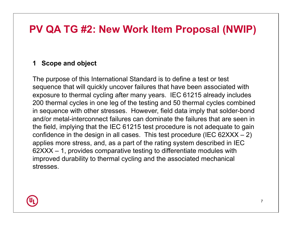### **PV QA TG #2: New Work Item Proposal (NWIP)**

#### **1 Scope and object**

 The purpose of this International Standard is to define a test or test sequence that will quickly uncover failures that have been associated with exposure to thermal cycling after many years. IEC 61215 already includes 200 thermal cycles in one leg of the testing and 50 thermal cycles combined in sequence with other stresses. However, field data imply that solder-bond and/or metal-interconnect failures can dominate the failures that are seen in the field, implying that the IEC 61215 test procedure is not adequate to gain confidence in the design in all cases. This test procedure (IEC  $62XXX - 2$ ) applies more stress, and, as a part of the rating system described in IEC 62XXX – 1, provides comparative testing to differentiate modules with improved durability to thermal cycling and the associated mechanical stresses.

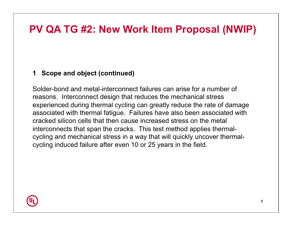## **PV QA TG #2: New Work Item Proposal (NWIP)**

#### **1 Scope and object (continued)**

 Solder-bond and metal-interconnect failures can arise for a number of reasons. Interconnect design that reduces the mechanical stress experienced during thermal cycling can greatly reduce the rate of damage associated with thermal fatigue. Failures have also been associated with cracked silicon cells that then cause increased stress on the metal interconnects that span the cracks. This test method applies thermal- cycling and mechanical stress in a way that will quickly uncover thermal-cycling induced failure after even 10 or 25 years in the field.

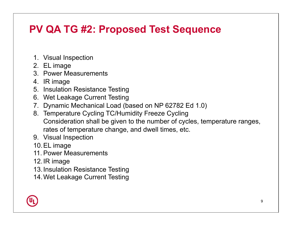## **PV QA TG #2: Proposed Test Sequence**

- 1. Visual Inspection
- 2. EL image
- 3. Power Measurements
- 4. IR image
- 5. Insulation Resistance Testing
- 6. Wet Leakage Current Testing
- 7. Dynamic Mechanical Load (based on NP 62782 Ed 1.0)
- 8. Temperature Cycling TC/Humidity Freeze Cycling Consideration shall be given to the number of cycles, temperature ranges, rates of temperature change, and dwell times, etc.
- 9. Visual Inspection
- 10.EL image
- 11. Power Measurements
- 12.IR image
- 13.Insulation Resistance Testing
- 14.Wet Leakage Current Testing

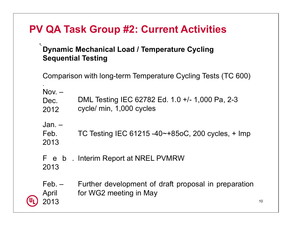## **PV QA Task Group #2: Current Activities**

#### **Dynamic Mechanical Load / Temperature Cycling Sequential Testing**

.

Comparison with long-term Temperature Cycling Tests (TC 600)

| Nov. –<br>Dec.<br>2012 | DML Testing IEC 62782 Ed. 1.0 +/- 1,000 Pa, 2-3<br>cycle/ min, 1,000 cycles    |
|------------------------|--------------------------------------------------------------------------------|
| Jan. –<br>Feb.<br>2013 | TC Testing IEC 61215 -40 $\sim$ +85oC, 200 cycles, + Imp                       |
| 2013                   | F e b . Interim Report at NREL PVMRW                                           |
| Feb. –<br>April        | Further development of draft proposal in preparation<br>for WG2 meeting in May |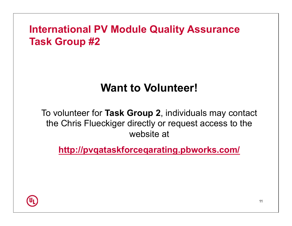## **International PV Module Quality Assurance Task Group #2**

# **Want to Volunteer!**

 To volunteer for **Task Group 2**, individuals may contact the Chris Flueckiger directly or request access to the website at

**http://pvqataskforceqarating.pbworks.com/**